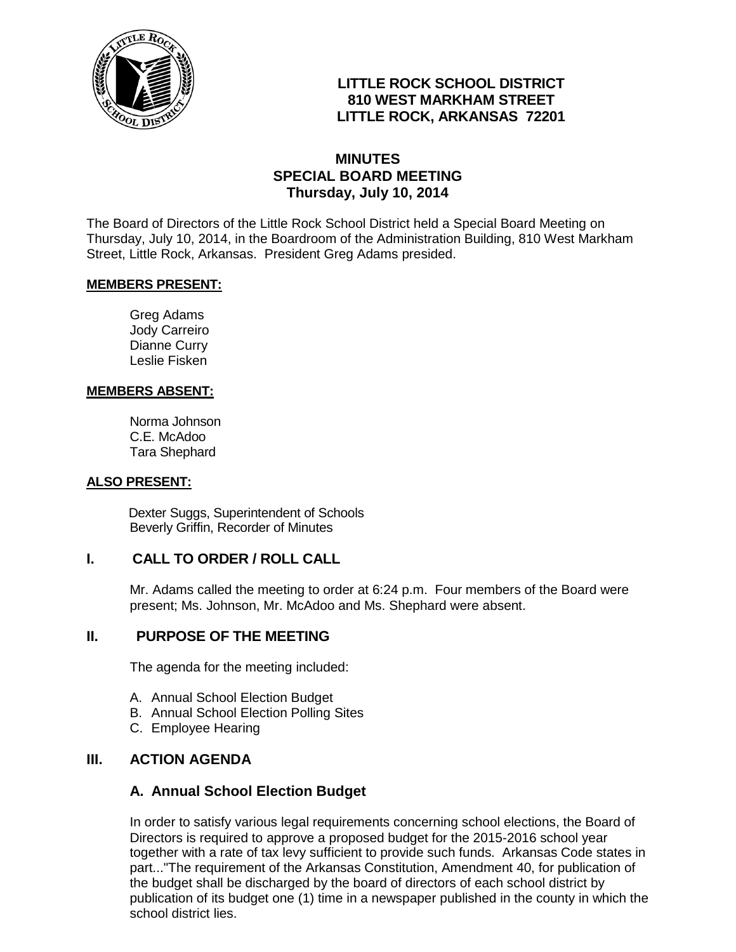

# **LITTLE ROCK SCHOOL DISTRICT 810 WEST MARKHAM STREET LITTLE ROCK, ARKANSAS 72201**

## **MINUTES SPECIAL BOARD MEETING Thursday, July 10, 2014**

The Board of Directors of the Little Rock School District held a Special Board Meeting on Thursday, July 10, 2014, in the Boardroom of the Administration Building, 810 West Markham Street, Little Rock, Arkansas. President Greg Adams presided.

#### **MEMBERS PRESENT:**

Greg Adams Jody Carreiro Dianne Curry Leslie Fisken

#### **MEMBERS ABSENT:**

Norma Johnson C.E. McAdoo Tara Shephard

#### **ALSO PRESENT:**

 Dexter Suggs, Superintendent of Schools Beverly Griffin, Recorder of Minutes

## **I. CALL TO ORDER / ROLL CALL**

Mr. Adams called the meeting to order at 6:24 p.m. Four members of the Board were present; Ms. Johnson, Mr. McAdoo and Ms. Shephard were absent.

## **II. PURPOSE OF THE MEETING**

The agenda for the meeting included:

- A. Annual School Election Budget
- B. Annual School Election Polling Sites
- C. Employee Hearing

## **III. ACTION AGENDA**

## **A. Annual School Election Budget**

In order to satisfy various legal requirements concerning school elections, the Board of Directors is required to approve a proposed budget for the 2015-2016 school year together with a rate of tax levy sufficient to provide such funds. Arkansas Code states in part..."The requirement of the Arkansas Constitution, Amendment 40, for publication of the budget shall be discharged by the board of directors of each school district by publication of its budget one (1) time in a newspaper published in the county in which the school district lies.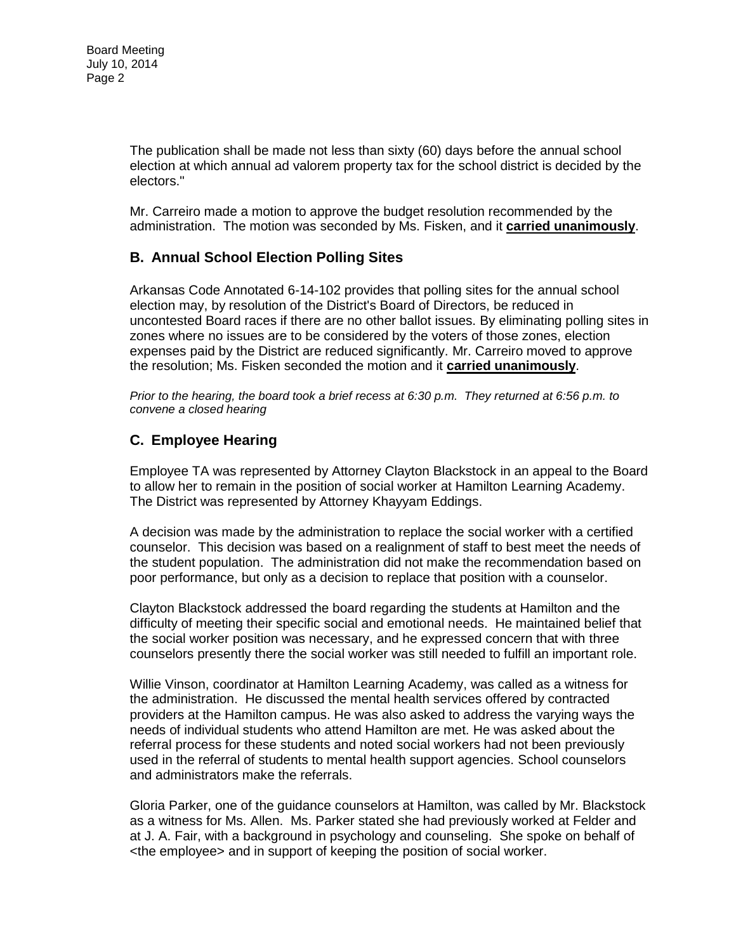The publication shall be made not less than sixty (60) days before the annual school election at which annual ad valorem property tax for the school district is decided by the electors."

Mr. Carreiro made a motion to approve the budget resolution recommended by the administration. The motion was seconded by Ms. Fisken, and it **carried unanimously**.

## **B. Annual School Election Polling Sites**

Arkansas Code Annotated 6-14-102 provides that polling sites for the annual school election may, by resolution of the District's Board of Directors, be reduced in uncontested Board races if there are no other ballot issues. By eliminating polling sites in zones where no issues are to be considered by the voters of those zones, election expenses paid by the District are reduced significantly. Mr. Carreiro moved to approve the resolution; Ms. Fisken seconded the motion and it **carried unanimously**.

*Prior to the hearing, the board took a brief recess at 6:30 p.m. They returned at 6:56 p.m. to convene a closed hearing* 

# **C. Employee Hearing**

Employee TA was represented by Attorney Clayton Blackstock in an appeal to the Board to allow her to remain in the position of social worker at Hamilton Learning Academy. The District was represented by Attorney Khayyam Eddings.

A decision was made by the administration to replace the social worker with a certified counselor. This decision was based on a realignment of staff to best meet the needs of the student population. The administration did not make the recommendation based on poor performance, but only as a decision to replace that position with a counselor.

Clayton Blackstock addressed the board regarding the students at Hamilton and the difficulty of meeting their specific social and emotional needs. He maintained belief that the social worker position was necessary, and he expressed concern that with three counselors presently there the social worker was still needed to fulfill an important role.

Willie Vinson, coordinator at Hamilton Learning Academy, was called as a witness for the administration. He discussed the mental health services offered by contracted providers at the Hamilton campus. He was also asked to address the varying ways the needs of individual students who attend Hamilton are met. He was asked about the referral process for these students and noted social workers had not been previously used in the referral of students to mental health support agencies. School counselors and administrators make the referrals.

Gloria Parker, one of the guidance counselors at Hamilton, was called by Mr. Blackstock as a witness for Ms. Allen. Ms. Parker stated she had previously worked at Felder and at J. A. Fair, with a background in psychology and counseling. She spoke on behalf of <the employee> and in support of keeping the position of social worker.